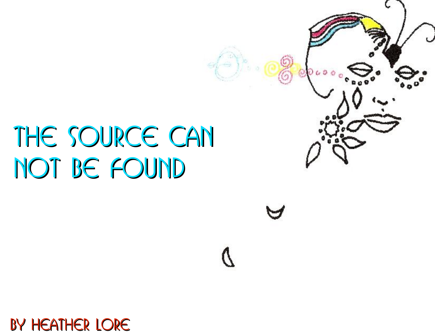## THE SOURCE CAN Not Be Found



By Heather Lore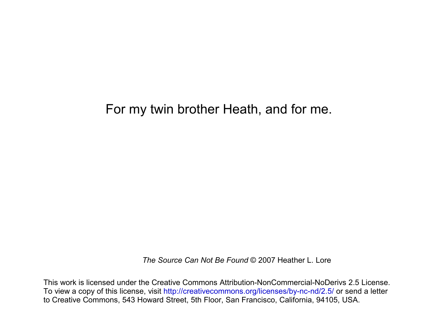## For my twin brother Heath, and for me.

*The Source Can Not Be Found* © 2007 Heather L. Lore

This work is licensed under the Creative Commons Attribution-NonCommercial-NoDerivs 2.5 License. To view a copy of this license, visit <http://creativecommons.org/licenses/by-nc-nd/2.5/> or send a letter to Creative Commons, 543 Howard Street, 5th Floor, San Francisco, California, 94105, USA.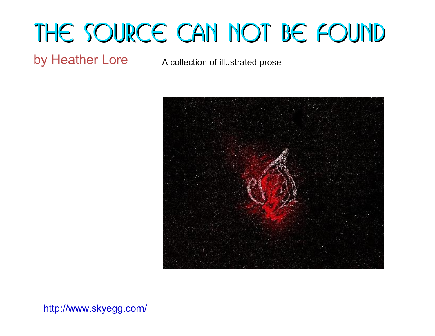## THE SOURCE CAN NOT BE FOUND

by Heather Lore A collection of illustrated prose



<http://www.skyegg.com/>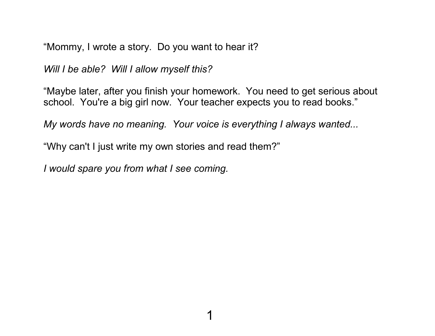"Mommy, I wrote a story. Do you want to hear it?

*Will I be able? Will I allow myself this?*

"Maybe later, after you finish your homework. You need to get serious about school. You're a big girl now. Your teacher expects you to read books."

*My words have no meaning. Your voice is everything I always wanted...*

"Why can't I just write my own stories and read them?"

*I would spare you from what I see coming.*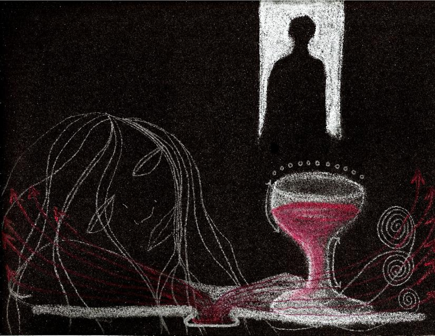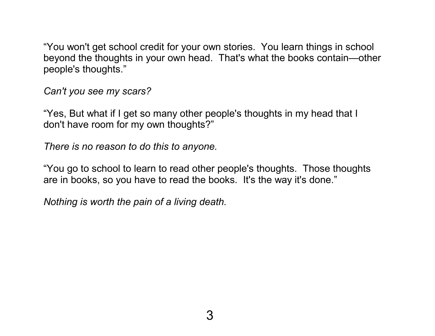"You won't get school credit for your own stories. You learn things in school beyond the thoughts in your own head. That's what the books contain—other people's thoughts."

*Can't you see my scars?*

"Yes, But what if I get so many other people's thoughts in my head that I don't have room for my own thoughts?"

*There is no reason to do this to anyone.*

"You go to school to learn to read other people's thoughts. Those thoughts are in books, so you have to read the books. It's the way it's done."

*Nothing is worth the pain of a living death.*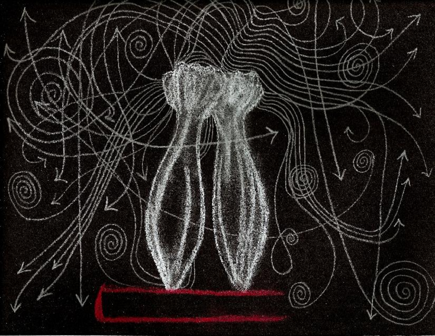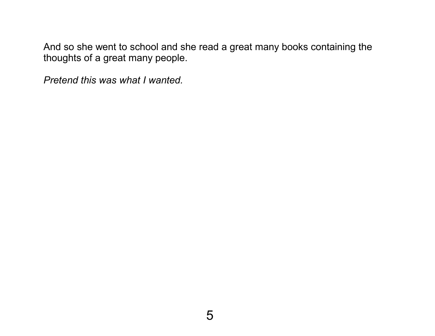And so she went to school and she read a great many books containing the thoughts of a great many people.

*Pretend this was what I wanted.*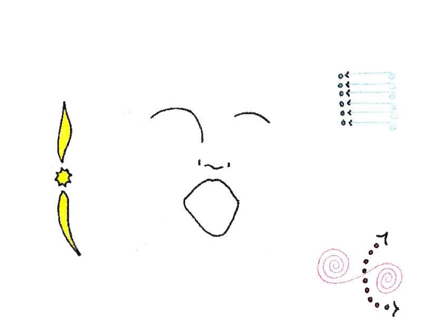



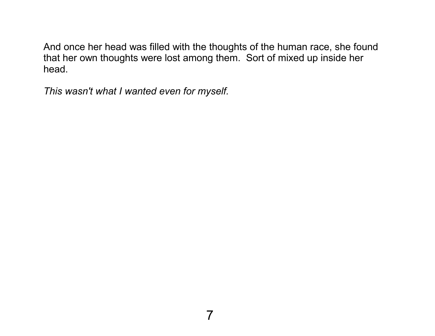And once her head was filled with the thoughts of the human race, she found that her own thoughts were lost among them. Sort of mixed up inside her head.

*This wasn't what I wanted even for myself.*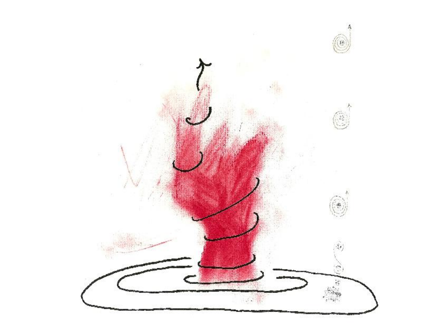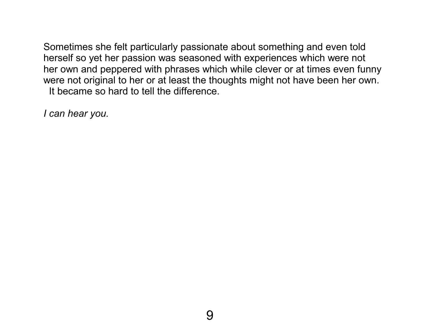Sometimes she felt particularly passionate about something and even told herself so yet her passion was seasoned with experiences which were not her own and peppered with phrases which while clever or at times even funny were not original to her or at least the thoughts might not have been her own. It became so hard to tell the difference.

*I can hear you.*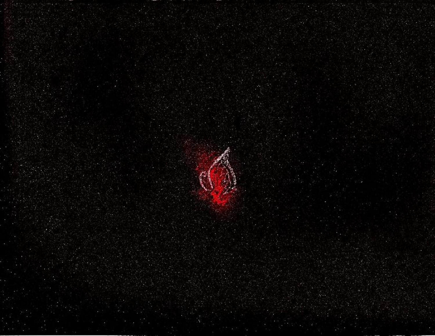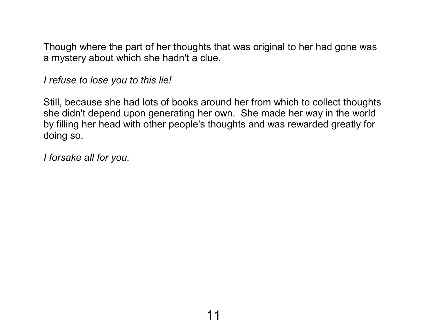Though where the part of her thoughts that was original to her had gone was a mystery about which she hadn't a clue.

*I refuse to lose you to this lie!*

Still, because she had lots of books around her from which to collect thoughts she didn't depend upon generating her own. She made her way in the world by filling her head with other people's thoughts and was rewarded greatly for doing so.

*I forsake all for you.*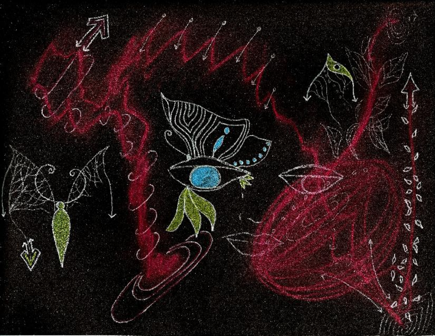